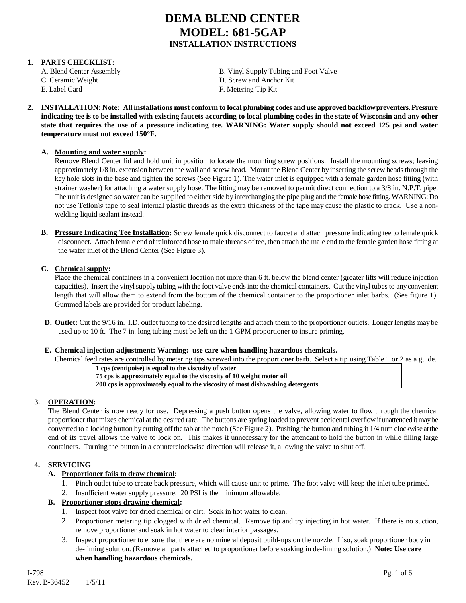#### **1. PARTS CHECKLIST:**

C. Ceramic Weight D. Screw and Anchor Kit E. Label Card F. Metering Tip Kit

A. Blend Center Assembly B. Vinyl Supply Tubing and Foot Valve

**2. INSTALLATION: Note: All installations must conform to local plumbing codes and use approved backflow preventers. Pressure indicating tee is to be installed with existing faucets according to local plumbing codes in the state of Wisconsin and any other state that requires the use of a pressure indicating tee. WARNING: Water supply should not exceed 125 psi and water temperature must not exceed 150°F.**

#### **A. Mounting and water supply:**

Remove Blend Center lid and hold unit in position to locate the mounting screw positions. Install the mounting screws; leaving approximately 1/8 in. extension between the wall and screw head. Mount the Blend Center by inserting the screw heads through the key hole slots in the base and tighten the screws (See Figure 1). The water inlet is equipped with a female garden hose fitting (with strainer washer) for attaching a water supply hose. The fitting may be removed to permit direct connection to a 3/8 in. N.P.T. pipe. The unit is designed so water can be supplied to either side by interchanging the pipe plug and the female hose fitting. WARNING: Do not use Teflon® tape to seal internal plastic threads as the extra thickness of the tape may cause the plastic to crack. Use a nonwelding liquid sealant instead.

**B. Pressure Indicating Tee Installation:** Screw female quick disconnect to faucet and attach pressure indicating tee to female quick disconnect. Attach female end of reinforced hose to male threads of tee, then attach the male end to the female garden hose fitting at the water inlet of the Blend Center (See Figure 3).

#### **C. Chemical supply:**

Place the chemical containers in a convenient location not more than 6 ft. below the blend center (greater lifts will reduce injection capacities). Insert the vinyl supply tubing with the foot valve ends into the chemical containers. Cut the vinyl tubes to any convenient length that will allow them to extend from the bottom of the chemical container to the proportioner inlet barbs. (See figure 1). Gummed labels are provided for product labeling.

**D. Outlet:** Cut the 9/16 in. I.D. outlet tubing to the desired lengths and attach them to the proportioner outlets. Longer lengths may be used up to 10 ft. The 7 in. long tubing must be left on the 1 GPM proportioner to insure priming.

#### **E. Chemical injection adjustment: Warning: use care when handling hazardous chemicals.**

Chemical feed rates are controlled by metering tips screwed into the proportioner barb. Select a tip using Table 1 or 2 as a guide.

| 1 cps (centipoise) is equal to the viscosity of water                          |
|--------------------------------------------------------------------------------|
| 75 cps is approximately equal to the viscosity of 10 weight motor oil          |
| 200 cps is approximately equal to the viscosity of most dishwashing detergents |

#### **3. OPERATION:**

The Blend Center is now ready for use. Depressing a push button opens the valve, allowing water to flow through the chemical proportioner that mixes chemical at the desired rate. The buttons are spring loaded to prevent accidental overflow if unattended it may be converted to a locking button by cutting off the tab at the notch (See Figure 2). Pushing the button and tubing it 1/4 turn clockwise at the end of its travel allows the valve to lock on. This makes it unnecessary for the attendant to hold the button in while filling large containers. Turning the button in a counterclockwise direction will release it, allowing the valve to shut off.

#### **4. SERVICING**

#### **A. Proportioner fails to draw chemical:**

- 1. Pinch outlet tube to create back pressure, which will cause unit to prime. The foot valve will keep the inlet tube primed.
- 2. Insufficient water supply pressure. 20 PSI is the minimum allowable.

#### **B. Proportioner stops drawing chemical:**

- 1. Inspect foot valve for dried chemical or dirt. Soak in hot water to clean.
- 2. Proportioner metering tip clogged with dried chemical. Remove tip and try injecting in hot water. If there is no suction, remove proportioner and soak in hot water to clear interior passages.
- 3. Inspect proportioner to ensure that there are no mineral deposit build-ups on the nozzle. If so, soak proportioner body in de-liming solution. (Remove all parts attached to proportioner before soaking in de-liming solution.) **Note: Use care when handling hazardous chemicals.**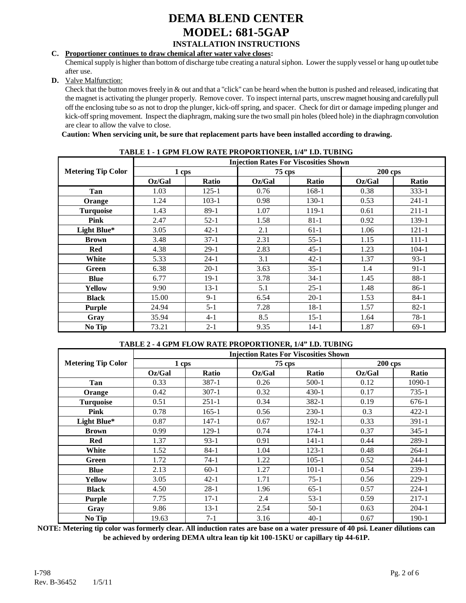#### **C. Proportioner continues to draw chemical after water valve closes:**

Chemical supply is higher than bottom of discharge tube creating a natural siphon. Lower the supply vessel or hang up outlet tube after use.

#### **D.** Valve Malfunction:

Check that the button moves freely in & out and that a "click" can be heard when the button is pushed and released, indicating that the magnet is activating the plunger properly. Remove cover. To inspect internal parts, unscrew magnet housing and carefully pull off the enclosing tube so as not to drop the plunger, kick-off spring, and spacer. Check for dirt or damage impeding plunger and kick-off spring movement. Inspect the diaphragm, making sure the two small pin holes (bleed hole) in the diaphragm convolution are clear to allow the valve to close.

#### **Caution: When servicing unit, be sure that replacement parts have been installed according to drawing.**

|                           | <b>Injection Rates For Viscosities Shown</b> |              |        |          |           |              |  |
|---------------------------|----------------------------------------------|--------------|--------|----------|-----------|--------------|--|
| <b>Metering Tip Color</b> | 1 cps                                        |              | 75 cps |          | $200$ cps |              |  |
|                           | Oz/Gal                                       | <b>Ratio</b> | Oz/Gal | Ratio    | Oz/Gal    | <b>Ratio</b> |  |
| Tan                       | 1.03                                         | $125 - 1$    | 0.76   | 168-1    | 0.38      | $333 - 1$    |  |
| Orange                    | 1.24                                         | $103-1$      | 0.98   | 130-1    | 0.53      | $241 - 1$    |  |
| <b>Turquoise</b>          | 1.43                                         | $89-1$       | 1.07   | 119-1    | 0.61      | $211 - 1$    |  |
| Pink                      | 2.47                                         | $52-1$       | 1.58   | $81 - 1$ | 0.92      | 139-1        |  |
| Light Blue*               | 3.05                                         | $42 - 1$     | 2.1    | $61-1$   | 1.06      | $121 - 1$    |  |
| <b>Brown</b>              | 3.48                                         | $37-1$       | 2.31   | 55-1     | 1.15      | 111-1        |  |
| <b>Red</b>                | 4.38                                         | $29-1$       | 2.83   | $45-1$   | 1.23      | $104 - 1$    |  |
| White                     | 5.33                                         | $24-1$       | 3.1    | $42 - 1$ | 1.37      | $93-1$       |  |
| Green                     | 6.38                                         | $20-1$       | 3.63   | $35-1$   | 1.4       | $91-1$       |  |
| <b>Blue</b>               | 6.77                                         | $19-1$       | 3.78   | $34-1$   | 1.45      | $88-1$       |  |
| Yellow                    | 9.90                                         | $13-1$       | 5.1    | $25-1$   | 1.48      | $86-1$       |  |
| <b>Black</b>              | 15.00                                        | $9 - 1$      | 6.54   | $20-1$   | 1.53      | $84-1$       |  |
| Purple                    | 24.94                                        | $5 - 1$      | 7.28   | $18-1$   | 1.57      | $82 - 1$     |  |
| Gray                      | 35.94                                        | $4 - 1$      | 8.5    | $15-1$   | 1.64      | $78-1$       |  |
| No Tip                    | 73.21                                        | $2 - 1$      | 9.35   | $14-1$   | 1.87      | $69-1$       |  |

#### **TABLE 1 - 1 GPM FLOW RATE PROPORTIONER, 1/4" I.D. TUBING**

#### **TABLE 2 - 4 GPM FLOW RATE PROPORTIONER, 1/4" I.D. TUBING**

|                           |        |              |          | <b>Injection Rates For Viscosities Shown</b> |                |           |
|---------------------------|--------|--------------|----------|----------------------------------------------|----------------|-----------|
| <b>Metering Tip Color</b> | 1 cps  |              | $75$ cps |                                              | <b>200 cps</b> |           |
|                           | Oz/Gal | <b>Ratio</b> | Oz/Gal   | Ratio                                        | Oz/Gal         | Ratio     |
| Tan                       | 0.33   | $387 - 1$    | 0.26     | 500-1                                        | 0.12           | 1090-1    |
| Orange                    | 0.42   | $307 - 1$    | 0.32     | $430-1$                                      | 0.17           | $735-1$   |
| <b>Turquoise</b>          | 0.51   | $251-1$      | 0.34     | 382-1                                        | 0.19           | $676-1$   |
| Pink                      | 0.78   | $165 - 1$    | 0.56     | $230-1$                                      | 0.3            | $422 - 1$ |
| Light Blue*               | 0.87   | $147 - 1$    | 0.67     | 192-1                                        | 0.33           | $391-1$   |
| <b>Brown</b>              | 0.99   | 129-1        | 0.74     | 174-1                                        | 0.37           | $345 - 1$ |
| <b>Red</b>                | 1.37   | $93-1$       | 0.91     | $141 - 1$                                    | 0.44           | 289-1     |
| White                     | 1.52   | $84-1$       | 1.04     | $123 - 1$                                    | 0.48           | $264-1$   |
| Green                     | 1.72   | $74-1$       | 1.22     | $105-1$                                      | 0.52           | $244 - 1$ |
| <b>Blue</b>               | 2.13   | $60-1$       | 1.27     | $101 - 1$                                    | 0.54           | $239-1$   |
| Yellow                    | 3.05   | $42 - 1$     | 1.71     | $75-1$                                       | 0.56           | $229-1$   |
| <b>Black</b>              | 4.50   | $28-1$       | 1.96     | $65-1$                                       | 0.57           | $224-1$   |
| Purple                    | 7.75   | $17-1$       | 2.4      | $53-1$                                       | 0.59           | $217 - 1$ |
| Gray                      | 9.86   | $13-1$       | 2.54     | $50-1$                                       | 0.63           | $204-1$   |
| No Tip                    | 19.63  | $7-1$        | 3.16     | $40-1$                                       | 0.67           | $190-1$   |

**NOTE: Metering tip color was formerly clear. All induction rates are base on a water pressure of 40 psi. Leaner dilutions can be achieved by ordering DEMA ultra lean tip kit 100-15KU or capillary tip 44-61P.**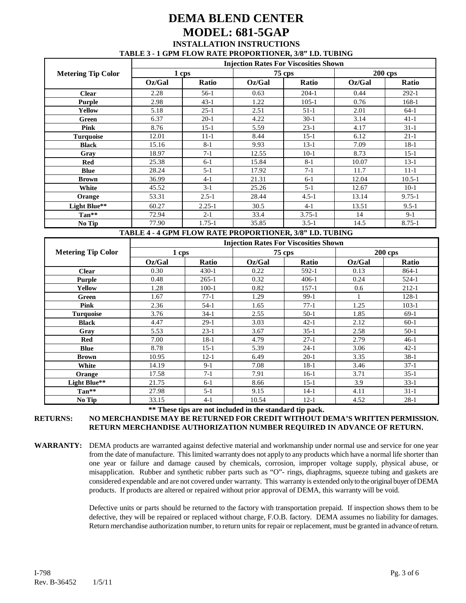### **DEMA BLEND CENTER MODEL: 681-5GAP INSTALLATION INSTRUCTIONS TABLE 3 - 1 GPM FLOW RATE PROPORTIONER, 3/8" I.D. TUBING**

|                           | <b>Injection Rates For Viscosities Shown</b> |              |               |              |                |              |
|---------------------------|----------------------------------------------|--------------|---------------|--------------|----------------|--------------|
| <b>Metering Tip Color</b> | 1 cps                                        |              | <b>75 cps</b> |              | <b>200 cps</b> |              |
|                           | Oz/Gal                                       | <b>Ratio</b> | Oz/Gal        | <b>Ratio</b> | Oz/Gal         | <b>Ratio</b> |
| <b>Clear</b>              | 2.28                                         | 56-1         | 0.63          | 204-1        | 0.44           | $292-1$      |
| Purple                    | 2.98                                         | $43-1$       | 1.22          | $105-1$      | 0.76           | 168-1        |
| <b>Yellow</b>             | 5.18                                         | $25-1$       | 2.51          | $51-1$       | 2.01           | $64-1$       |
| Green                     | 6.37                                         | $20-1$       | 4.22          | $30-1$       | 3.14           | $41-1$       |
| Pink                      | 8.76                                         | $15-1$       | 5.59          | $23-1$       | 4.17           | $31-1$       |
| <b>Turquoise</b>          | 12.01                                        | $11 - 1$     | 8.44          | $15-1$       | 6.12           | $21-1$       |
| <b>Black</b>              | 15.16                                        | $8-1$        | 9.93          | $13-1$       | 7.09           | $18-1$       |
| Gray                      | 18.97                                        | $7-1$        | 12.55         | $10-1$       | 8.73           | $15-1$       |
| Red                       | 25.38                                        | $6-1$        | 15.84         | $8-1$        | 10.07          | $13-1$       |
| <b>Blue</b>               | 28.24                                        | $5-1$        | 17.92         | $7-1$        | 11.7           | $11-1$       |
| <b>Brown</b>              | 36.99                                        | $4-1$        | 21.31         | $6-1$        | 12.04          | $10.5 - 1$   |
| White                     | 45.52                                        | $3-1$        | 25.26         | $5-1$        | 12.67          | $10-1$       |
| Orange                    | 53.31                                        | $2.5 - 1$    | 28.44         | $4.5 - 1$    | 13.14          | $9.75 - 1$   |
| Light Blue**              | 60.27                                        | $2.25 - 1$   | 30.5          | $4-1$        | 13.51          | $9.5 - 1$    |
| Tan**                     | 72.94                                        | $2-1$        | 33.4          | $3.75 - 1$   | 14             | $9-1$        |
| No Tip                    | 77.90                                        | 1.75-1       | 35.85         | $3.5 - 1$    | 14.5           | 8.75-1       |

#### **TABLE 4 - 4 GPM FLOW RATE PROPORTIONER, 3/8" I.D. TUBING**

|                           | <b>Injection Rates For Viscosities Shown</b> |         |        |               |        |                |  |
|---------------------------|----------------------------------------------|---------|--------|---------------|--------|----------------|--|
| <b>Metering Tip Color</b> | 1 cps                                        |         |        | <b>75 cps</b> |        | <b>200 cps</b> |  |
|                           | Oz/Gal                                       | Ratio   | Oz/Gal | Ratio         | Oz/Gal | Ratio          |  |
| <b>Clear</b>              | 0.30                                         | $430-1$ | 0.22   | 592-1         | 0.13   | 864-1          |  |
| Purple                    | 0.48                                         | $265-1$ | 0.32   | $406-1$       | 0.24   | 524-1          |  |
| Yellow                    | 1.28                                         | $100-1$ | 0.82   | $157-1$       | 0.6    | 212-1          |  |
| Green                     | 1.67                                         | $77-1$  | 1.29   | $99-1$        |        | 128-1          |  |
| Pink                      | 2.36                                         | $54-1$  | 1.65   | $77-1$        | 1.25   | $103-1$        |  |
| <b>Turquoise</b>          | 3.76                                         | $34-1$  | 2.55   | $50-1$        | 1.85   | $69-1$         |  |
| <b>Black</b>              | 4.47                                         | $29-1$  | 3.03   | $42-1$        | 2.12   | $60-1$         |  |
| Gray                      | 5.53                                         | $23-1$  | 3.67   | $35-1$        | 2.58   | $50-1$         |  |
| Red                       | 7.00                                         | $18-1$  | 4.79   | $27-1$        | 2.79   | $46-1$         |  |
| Blue                      | 8.78                                         | $15-1$  | 5.39   | $24-1$        | 3.06   | $42-1$         |  |
| <b>Brown</b>              | 10.95                                        | $12-1$  | 6.49   | $20-1$        | 3.35   | $38-1$         |  |
| White                     | 14.19                                        | $9-1$   | 7.08   | $18-1$        | 3.46   | $37-1$         |  |
| Orange                    | 17.58                                        | $7-1$   | 7.91   | $16-1$        | 3.71   | $35-1$         |  |
| Light Blue**              | 21.75                                        | $6-1$   | 8.66   | $15-1$        | 3.9    | $33-1$         |  |
| Tan**                     | 27.98                                        | $5-1$   | 9.15   | $14-1$        | 4.11   | $31-1$         |  |
| No Tip                    | 33.15                                        | $4-1$   | 10.54  | $12 - 1$      | 4.52   | $28-1$         |  |

**\*\* These tips are not included in the standard tip pack.**

**RETURNS: NO MERCHANDISE MAY BE RETURNED FOR CREDIT WITHOUT DEMA'S WRITTEN PERMISSION. RETURN MERCHANDISE AUTHORIZATION NUMBER REQUIRED IN ADVANCE OF RETURN.**

**WARRANTY:** DEMA products are warranted against defective material and workmanship under normal use and service for one year from the date of manufacture. This limited warranty does not apply to any products which have a normal life shorter than one year or failure and damage caused by chemicals, corrosion, improper voltage supply, physical abuse, or misapplication. Rubber and synthetic rubber parts such as "O"- rings, diaphragms, squeeze tubing and gaskets are considered expendable and are not covered under warranty. This warranty is extended only to the original buyer of DEMA products. If products are altered or repaired without prior approval of DEMA, this warranty will be void.

> Defective units or parts should be returned to the factory with transportation prepaid. If inspection shows them to be defective, they will be repaired or replaced without charge, F.O.B. factory. DEMA assumes no liability for damages. Return merchandise authorization number, to return units for repair or replacement, must be granted in advance of return.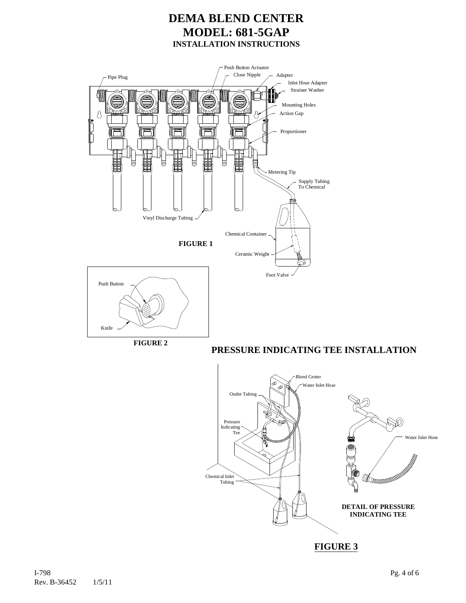

Knife

**FIGURE 2**

**PRESSURE INDICATING TEE INSTALLATION**



**FIGURE 3**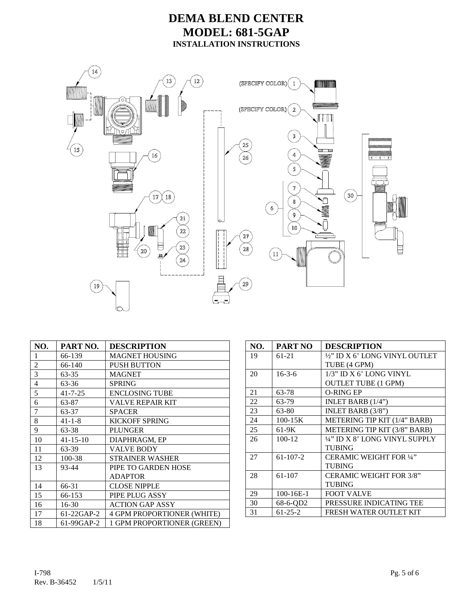

| NO.                      | PART NO.       | <b>DESCRIPTION</b>                |
|--------------------------|----------------|-----------------------------------|
| 1                        | 66-139         | <b>MAGNET HOUSING</b>             |
| $\overline{c}$           | 66-140         | PUSH BUTTON                       |
| $\overline{3}$           | 63-35          | <b>MAGNET</b>                     |
| $\overline{\mathcal{L}}$ | 63-36          | <b>SPRING</b>                     |
| 5                        | $41 - 7 - 25$  | <b>ENCLOSING TUBE</b>             |
| 6                        | 63-87          | VALVE REPAIR KIT                  |
| $\overline{7}$           | 63-37          | <b>SPACER</b>                     |
| 8                        | $41 - 1 - 8$   | <b>KICKOFF SPRING</b>             |
| 9                        | 63-38          | <b>PLUNGER</b>                    |
| 10                       | $41 - 15 - 10$ | DIAPHRAGM, EP                     |
| 11                       | 63-39          | <b>VALVE BODY</b>                 |
| 12                       | 100-38         | <b>STRAINER WASHER</b>            |
| 13                       | 93-44          | PIPE TO GARDEN HOSE               |
|                          |                | <b>ADAPTOR</b>                    |
| 14                       | 66-31          | <b>CLOSE NIPPLE</b>               |
| 15                       | 66-153         | PIPE PLUG ASSY                    |
| 16                       | $16 - 30$      | <b>ACTION GAP ASSY</b>            |
| 17                       | 61-22GAP-2     | <b>4 GPM PROPORTIONER (WHITE)</b> |
| 18                       | 61-99GAP-2     | 1 GPM PROPORTIONER (GREEN)        |

| NO. | <b>PART NO</b> | <b>DESCRIPTION</b>             |
|-----|----------------|--------------------------------|
| 19  | 61-21          | ½" ID X 6' LONG VINYL OUTLET   |
|     |                | TUBE (4 GPM)                   |
| 20  | $16 - 3 - 6$   | 1/3" ID X 6' LONG VINYL        |
|     |                | <b>OUTLET TUBE (1 GPM)</b>     |
| 21  | 63-78          | <b>O-RING EP</b>               |
| 22  | 63-79          | INLET BARB (1/4")              |
| 23  | 63-80          | INLET BARB (3/8")              |
| 24  | $100 - 15K$    | METERING TIP KIT (1/4" BARB)   |
| 25  | 61-9K          | METERING TIP KIT (3/8" BARB)   |
| 26  | $100 - 12$     | 1/4" ID X 8' LONG VINYL SUPPLY |
|     |                | TUBING                         |
| 27  | $61-107-2$     | <b>CERAMIC WEIGHT FOR 1/4"</b> |
|     |                | TUBING                         |
| 28  | 61-107         | <b>CERAMIC WEIGHT FOR 3/8"</b> |
|     |                | TUBING                         |
| 29  | 100-16E-1      | <b>FOOT VALVE</b>              |
| 30  | 68-6-QD2       | PRESSURE INDICATING TEE        |
| 31  | $61 - 25 - 2$  | FRESH WATER OUTLET KIT         |